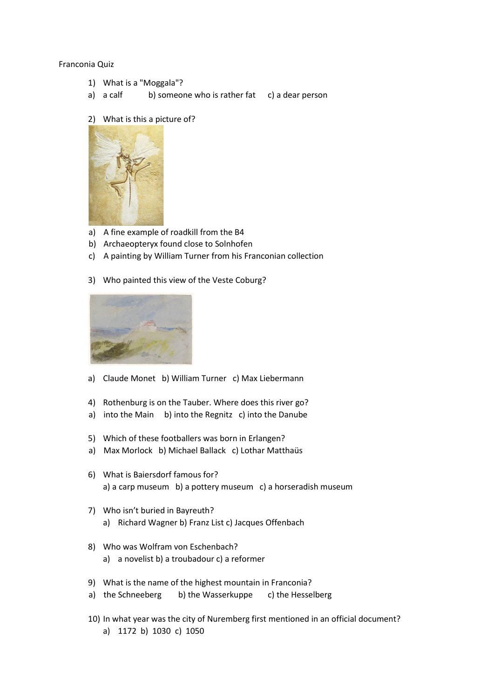Franconia Quiz

- 1) What is a "Moggala"?
- a) a calf b) someone who is rather fat c) a dear person
- 2) What is this a picture of?



- a) A fine example of roadkill from the B4
- b) Archaeopteryx found close to Solnhofen
- c) A painting by William Turner from his Franconian collection
- 3) Who painted this view of the Veste Coburg?



- a) Claude Monet b) William Turner c) Max Liebermann
- 4) Rothenburg is on the Tauber. Where does this river go?
- a) into the Main b) into the Regnitz c) into the Danube
- 5) Which of these footballers was born in Erlangen?
- a) Max Morlock b) Michael Ballack c) Lothar Matthaüs
- 6) What is Baiersdorf famous for? a) a carp museum b) a pottery museum c) a horseradish museum
- 7) Who isn't buried in Bayreuth? a) Richard Wagner b) Franz List c) Jacques Offenbach
- 8) Who was Wolfram von Eschenbach?
	- a) a novelist b) a troubadour c) a reformer
- 9) What is the name of the highest mountain in Franconia?
- a) the Schneeberg b) the Wasserkuppe c) the Hesselberg
- 10) In what year was the city of Nuremberg first mentioned in an official document? a) 1172 b) 1030 c) 1050